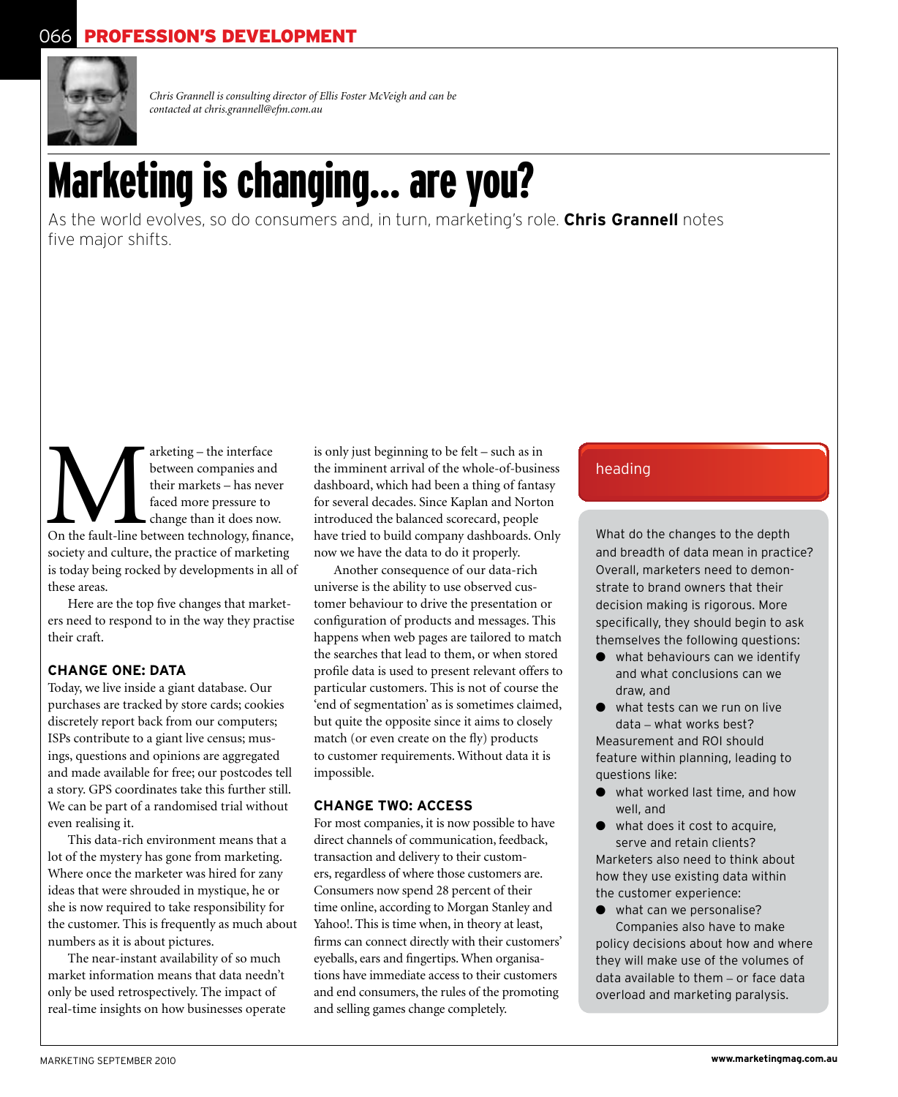

*Chris Grannell is consulting director of Ellis Foster McVeigh and can be contacted at chris.grannell@efm.com.au*

# Marketing is changing... are you?

As the world evolves, so do consumers and, in turn, marketing's role. **Chris Grannell** notes five major shifts.

arketing – the interface<br>
between companies and<br>
their markets – has never<br>
faced more pressure to<br>
change than it does now.<br>
On the fault-line between technology, finance, between companies and their markets – has never faced more pressure to change than it does now. society and culture, the practice of marketing is today being rocked by developments in all of these areas.

Here are the top five changes that marketers need to respond to in the way they practise their craft.

#### **Change one: data**

Today, we live inside a giant database. Our purchases are tracked by store cards; cookies discretely report back from our computers; ISPs contribute to a giant live census; musings, questions and opinions are aggregated and made available for free; our postcodes tell a story. GPS coordinates take this further still. We can be part of a randomised trial without even realising it.

This data-rich environment means that a lot of the mystery has gone from marketing. Where once the marketer was hired for zany ideas that were shrouded in mystique, he or she is now required to take responsibility for the customer. This is frequently as much about numbers as it is about pictures.

The near-instant availability of so much market information means that data needn't only be used retrospectively. The impact of real-time insights on how businesses operate is only just beginning to be felt – such as in the imminent arrival of the whole-of-business dashboard, which had been a thing of fantasy for several decades. Since Kaplan and Norton introduced the balanced scorecard, people have tried to build company dashboards. Only now we have the data to do it properly.

Another consequence of our data-rich universe is the ability to use observed customer behaviour to drive the presentation or configuration of products and messages. This happens when web pages are tailored to match the searches that lead to them, or when stored profile data is used to present relevant offers to particular customers. This is not of course the 'end of segmentation' as is sometimes claimed, but quite the opposite since it aims to closely match (or even create on the fly) products to customer requirements. Without data it is impossible.

#### **Change two: access**

For most companies, it is now possible to have direct channels of communication, feedback, transaction and delivery to their customers, regardless of where those customers are. Consumers now spend 28 percent of their time online, according to Morgan Stanley and Yahoo!. This is time when, in theory at least, firms can connect directly with their customers' eyeballs, ears and fingertips. When organisations have immediate access to their customers and end consumers, the rules of the promoting and selling games change completely.

### heading

What do the changes to the depth and breadth of data mean in practice? Overall, marketers need to demonstrate to brand owners that their decision making is rigorous. More specifically, they should begin to ask themselves the following questions:

- $\bullet$  what behaviours can we identify and what conclusions can we draw, and
- $\bullet$  what tests can we run on live data – what works best? Measurement and ROI should feature within planning, leading to questions like:
- what worked last time, and how well, and
- $\bullet$  what does it cost to acquire. serve and retain clients? Marketers also need to think about how they use existing data within the customer experience:
- $\bullet$  what can we personalise?

Companies also have to make policy decisions about how and where they will make use of the volumes of data available to them – or face data overload and marketing paralysis.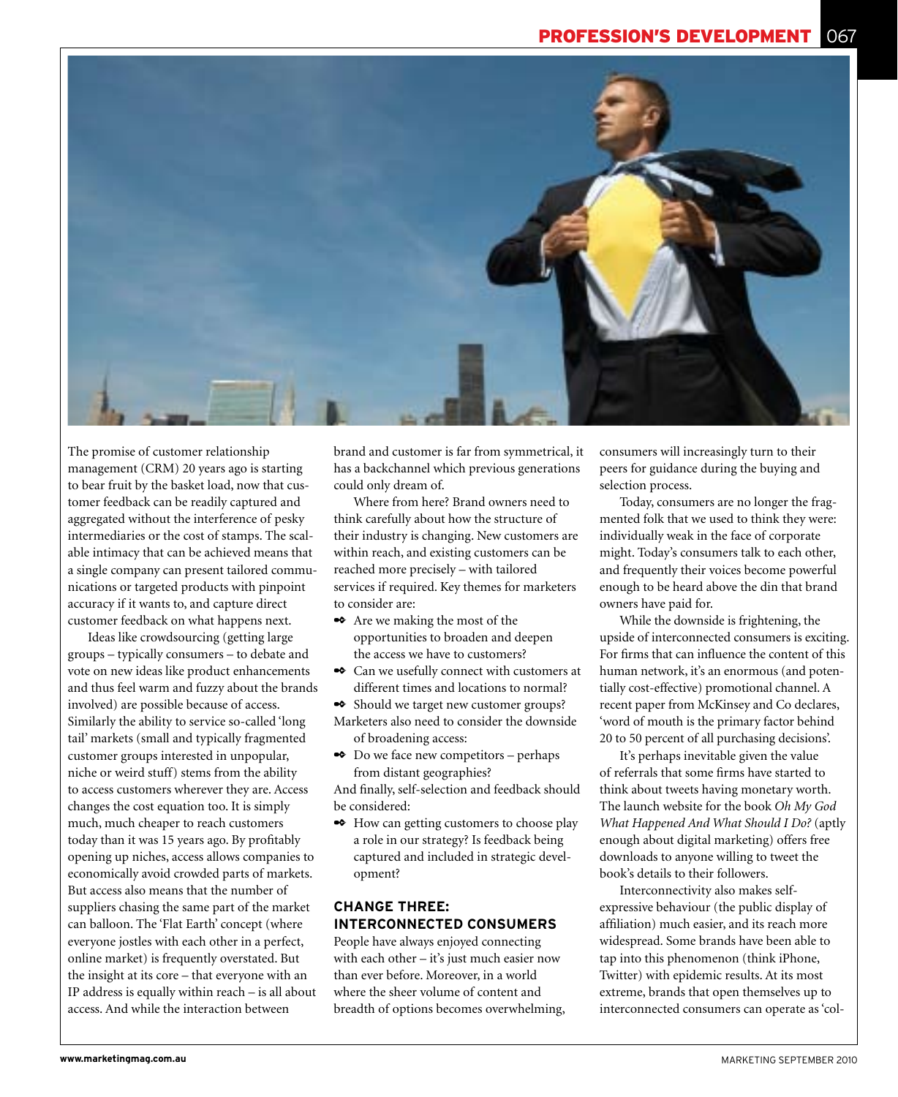

The promise of customer relationship management (CRM) 20 years ago is starting to bear fruit by the basket load, now that customer feedback can be readily captured and aggregated without the interference of pesky intermediaries or the cost of stamps. The scalable intimacy that can be achieved means that a single company can present tailored communications or targeted products with pinpoint accuracy if it wants to, and capture direct customer feedback on what happens next.

Ideas like crowdsourcing (getting large groups – typically consumers – to debate and vote on new ideas like product enhancements and thus feel warm and fuzzy about the brands involved) are possible because of access. Similarly the ability to service so-called 'long tail' markets (small and typically fragmented customer groups interested in unpopular, niche or weird stuff) stems from the ability to access customers wherever they are. Access changes the cost equation too. It is simply much, much cheaper to reach customers today than it was 15 years ago. By profitably opening up niches, access allows companies to economically avoid crowded parts of markets. But access also means that the number of suppliers chasing the same part of the market can balloon. The 'Flat Earth' concept (where everyone jostles with each other in a perfect, online market) is frequently overstated. But the insight at its core – that everyone with an IP address is equally within reach – is all about access. And while the interaction between

brand and customer is far from symmetrical, it has a backchannel which previous generations could only dream of.

Where from here? Brand owners need to think carefully about how the structure of their industry is changing. New customers are within reach, and existing customers can be reached more precisely – with tailored services if required. Key themes for marketers to consider are:

- ✒ Are we making the most of the opportunities to broaden and deepen the access we have to customers?
- ✒ Can we usefully connect with customers at different times and locations to normal?
- ✒ Should we target new customer groups? Marketers also need to consider the downside of broadening access:
- ✒ Do we face new competitors perhaps from distant geographies?

And finally, self-selection and feedback should be considered:

✒ How can getting customers to choose play a role in our strategy? Is feedback being captured and included in strategic development?

#### **Change Three: Interconnected Consumers**

People have always enjoyed connecting with each other – it's just much easier now than ever before. Moreover, in a world where the sheer volume of content and breadth of options becomes overwhelming, consumers will increasingly turn to their peers for guidance during the buying and selection process.

Today, consumers are no longer the fragmented folk that we used to think they were: individually weak in the face of corporate might. Today's consumers talk to each other, and frequently their voices become powerful enough to be heard above the din that brand owners have paid for.

While the downside is frightening, the upside of interconnected consumers is exciting. For firms that can influence the content of this human network, it's an enormous (and potentially cost-effective) promotional channel. A recent paper from McKinsey and Co declares, 'word of mouth is the primary factor behind 20 to 50 percent of all purchasing decisions'.

It's perhaps inevitable given the value of referrals that some firms have started to think about tweets having monetary worth. The launch website for the book *Oh My God What Happened And What Should I Do?* (aptly enough about digital marketing) offers free downloads to anyone willing to tweet the book's details to their followers.

Interconnectivity also makes selfexpressive behaviour (the public display of affiliation) much easier, and its reach more widespread. Some brands have been able to tap into this phenomenon (think iPhone, Twitter) with epidemic results. At its most extreme, brands that open themselves up to interconnected consumers can operate as 'col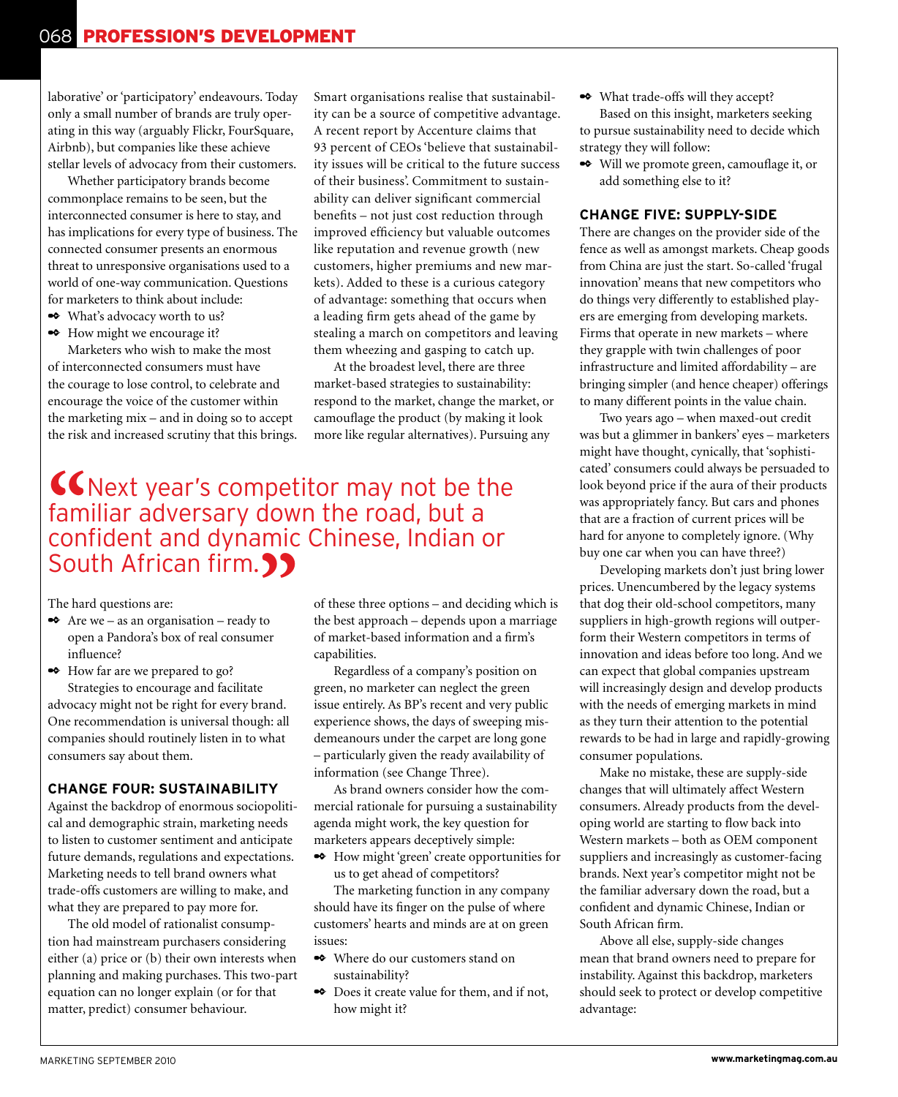laborative' or 'participatory' endeavours. Today only a small number of brands are truly operating in this way (arguably Flickr, FourSquare, Airbnb), but companies like these achieve stellar levels of advocacy from their customers.

Whether participatory brands become commonplace remains to be seen, but the interconnected consumer is here to stay, and has implications for every type of business. The connected consumer presents an enormous threat to unresponsive organisations used to a world of one-way communication. Questions for marketers to think about include:

- ✒ What's advocacy worth to us?
- ✒ How might we encourage it?

Marketers who wish to make the most of interconnected consumers must have the courage to lose control, to celebrate and encourage the voice of the customer within the marketing mix – and in doing so to accept the risk and increased scrutiny that this brings. Smart organisations realise that sustainability can be a source of competitive advantage. A recent report by Accenture claims that 93 percent of CEOs 'believe that sustainability issues will be critical to the future success of their business'. Commitment to sustainability can deliver significant commercial benefits – not just cost reduction through improved efficiency but valuable outcomes like reputation and revenue growth (new customers, higher premiums and new markets). Added to these is a curious category of advantage: something that occurs when a leading firm gets ahead of the game by stealing a march on competitors and leaving them wheezing and gasping to catch up.

At the broadest level, there are three market-based strategies to sustainability: respond to the market, change the market, or camouflage the product (by making it look more like regular alternatives). Pursuing any

## **K** Next year's competitor may not be the familiar adversary down the road, but a confident and dynamic Chinese, Indian or South African firm.<sup>99</sup>

The hard questions are:

 $\triangle$  Are we – as an organisation – ready to open a Pandora's box of real consumer influence?

✒ How far are we prepared to go? Strategies to encourage and facilitate advocacy might not be right for every brand. One recommendation is universal though: all companies should routinely listen in to what consumers say about them.

#### **Change Four: Sustainability**

Against the backdrop of enormous sociopolitical and demographic strain, marketing needs to listen to customer sentiment and anticipate future demands, regulations and expectations. Marketing needs to tell brand owners what trade-offs customers are willing to make, and what they are prepared to pay more for.

The old model of rationalist consumption had mainstream purchasers considering either (a) price or (b) their own interests when planning and making purchases. This two-part equation can no longer explain (or for that matter, predict) consumer behaviour.

of these three options – and deciding which is the best approach – depends upon a marriage of market-based information and a firm's capabilities.

Regardless of a company's position on green, no marketer can neglect the green issue entirely. As BP's recent and very public experience shows, the days of sweeping misdemeanours under the carpet are long gone – particularly given the ready availability of information (see Change Three).

As brand owners consider how the commercial rationale for pursuing a sustainability agenda might work, the key question for marketers appears deceptively simple:

✒ How might 'green' create opportunities for us to get ahead of competitors?

The marketing function in any company should have its finger on the pulse of where customers' hearts and minds are at on green issues:

- ✒ Where do our customers stand on sustainability?
- ✒ Does it create value for them, and if not, how might it?
- ✒ What trade-offs will they accept? Based on this insight, marketers seeking to pursue sustainability need to decide which strategy they will follow:
- ✒ Will we promote green, camouflage it, or add something else to it?

#### **Change Five: Supply-Side**

There are changes on the provider side of the fence as well as amongst markets. Cheap goods from China are just the start. So-called 'frugal innovation' means that new competitors who do things very differently to established players are emerging from developing markets. Firms that operate in new markets – where they grapple with twin challenges of poor infrastructure and limited affordability – are bringing simpler (and hence cheaper) offerings to many different points in the value chain.

Two years ago – when maxed-out credit was but a glimmer in bankers' eyes – marketers might have thought, cynically, that 'sophisticated' consumers could always be persuaded to look beyond price if the aura of their products was appropriately fancy. But cars and phones that are a fraction of current prices will be hard for anyone to completely ignore. (Why buy one car when you can have three?)

Developing markets don't just bring lower prices. Unencumbered by the legacy systems that dog their old-school competitors, many suppliers in high-growth regions will outperform their Western competitors in terms of innovation and ideas before too long. And we can expect that global companies upstream will increasingly design and develop products with the needs of emerging markets in mind as they turn their attention to the potential rewards to be had in large and rapidly-growing consumer populations.

Make no mistake, these are supply-side changes that will ultimately affect Western consumers. Already products from the developing world are starting to flow back into Western markets – both as OEM component suppliers and increasingly as customer-facing brands. Next year's competitor might not be the familiar adversary down the road, but a confident and dynamic Chinese, Indian or South African firm.

Above all else, supply-side changes mean that brand owners need to prepare for instability. Against this backdrop, marketers should seek to protect or develop competitive advantage: